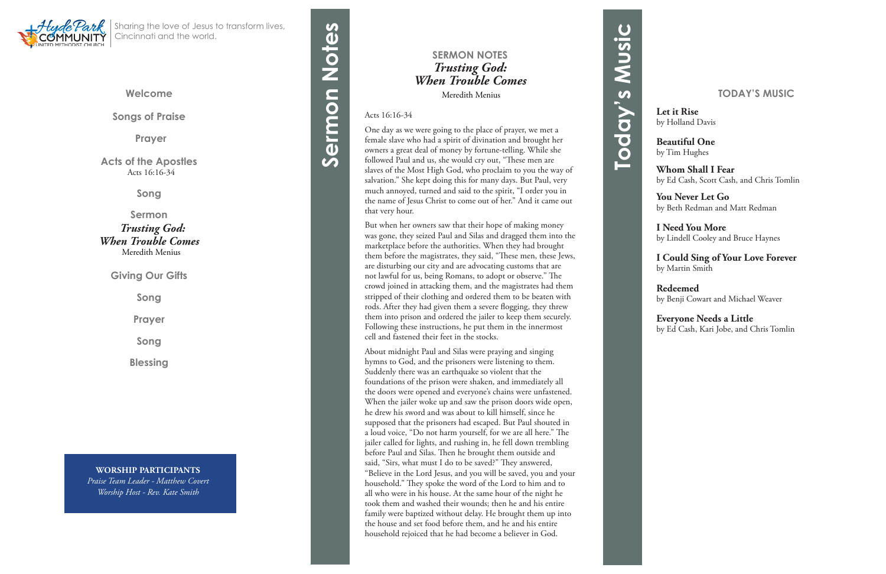**Welcome**

**Songs of Praise**

**Prayer** 

**Acts of the Apostles**Acts 16:16-34

**Song**

**Sermon**

 *Trusting God: When Trouble Comes*  Meredith Menius

**Giving Our Gifts**

**Song**

**Prayer**

**Song**

**Blessing**



Sharing the love of Jesus to transform lives, Cincinnati and the world.

# **SERMON NOTES** *Trusting God: When Trouble Comes*

Meredith Menius

### Acts 16:16-34

One day as we were going to the place of prayer, we met a female slave who had a spirit of divination and brought her owners a great deal of money by fortune-telling. While she followed Paul and us, she would cry out, "These men are slaves of the Most High God, who proclaim to you the way of salvation." She kept doing this for many days. But Paul, very much annoyed, turned and said to the spirit, "I order you in the name of Jesus Christ to come out of her." And it came out that very hour.

But when her owners saw that their hope of making money was gone, they seized Paul and Silas and dragged them into the marketplace before the authorities. When they had brought them before the magistrates, they said, "These men, these Jews, are disturbing our city and are advocating customs that are not lawful for us, being Romans, to adopt or observe." The crowd joined in attacking them, and the magistrates had them stripped of their clothing and ordered them to be beaten with rods. After they had given them a severe flogging, they threw them into prison and ordered the jailer to keep them securely. Following these instructions, he put them in the innermost cell and fastened their feet in the stocks.

# Sermon Notes **Sermon Notes**

About midnight Paul and Silas were praying and singing hymns to God, and the prisoners were listening to them. Suddenly there was an earthquake so violent that the foundations of the prison were shaken, and immediately all the doors were opened and everyone's chains were unfastened. When the jailer woke up and saw the prison doors wide open, he drew his sword and was about to kill himself, since he supposed that the prisoners had escaped. But Paul shouted in a loud voice, "Do not harm yourself, for we are all here." The jailer called for lights, and rushing in, he fell down trembling before Paul and Silas. Then he brought them outside and said, "Sirs, what must I do to be saved?" They answered, "Believe in the Lord Jesus, and you will be saved, you and your household." They spoke the word of the Lord to him and to all who were in his house. At the same hour of the night he took them and washed their wounds; then he and his entire family were baptized without delay. He brought them up into the house and set food before them, and he and his entire household rejoiced that he had become a believer in God.

**WORSHIP PARTICIPANTS** *Praise Team Leader - Matthew Covert Worship Host - Rev. Kate Smith*

### **TODAY'S MUSIC**

**Let it Rise** by Holland Davis

**Beautiful One** by Tim Hughes

**Whom Shall I Fear** by Ed Cash, Scott Cash, and Chris Tomlin

**You Never Let Go** by Beth Redman and Matt Redman

**I Need You More** by Lindell Cooley and Bruce Haynes

**I Could Sing of Your Love Forever** by Martin Smith

**Redeemed** by Benji Cowart and Michael Weaver

**Everyone Needs a Little** by Ed Cash, Kari Jobe, and Chris Tomlin